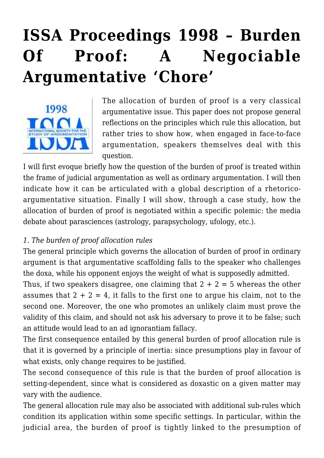# **[ISSA Proceedings 1998 – Burden](https://rozenbergquarterly.com/issa-proceedings-1998-burden-of-proof-a-negociable-argumentative-chore/) [Of Proof: A Negociable](https://rozenbergquarterly.com/issa-proceedings-1998-burden-of-proof-a-negociable-argumentative-chore/) [Argumentative 'Chore'](https://rozenbergquarterly.com/issa-proceedings-1998-burden-of-proof-a-negociable-argumentative-chore/)**



The allocation of burden of proof is a very classical argumentative issue. This paper does not propose general reflections on the principles which rule this allocation, but rather tries to show how, when engaged in face-to-face argumentation, speakers themselves deal with this question.

I will first evoque briefly how the question of the burden of proof is treated within the frame of judicial argumentation as well as ordinary argumentation. I will then indicate how it can be articulated with a global description of a rhetoricoargumentative situation. Finally I will show, through a case study, how the allocation of burden of proof is negotiated within a specific polemic: the media debate about parasciences (astrology, parapsychology, ufology, etc.).

## *1. The burden of proof allocation rules*

The general principle which governs the allocation of burden of proof in ordinary argument is that argumentative scaffolding falls to the speaker who challenges the doxa, while his opponent enjoys the weight of what is supposedly admitted.

Thus, if two speakers disagree, one claiming that  $2 + 2 = 5$  whereas the other assumes that  $2 + 2 = 4$ , it falls to the first one to argue his claim, not to the second one. Moreover, the one who promotes an unlikely claim must prove the validity of this claim, and should not ask his adversary to prove it to be false; such an attitude would lead to an ad ignorantiam fallacy.

The first consequence entailed by this general burden of proof allocation rule is that it is governed by a principle of inertia: since presumptions play in favour of what exists, only change requires to be justified.

The second consequence of this rule is that the burden of proof allocation is setting-dependent, since what is considered as doxastic on a given matter may vary with the audience.

The general allocation rule may also be associated with additional sub-rules which condition its application within some specific settings. In particular, within the judicial area, the burden of proof is tightly linked to the presumption of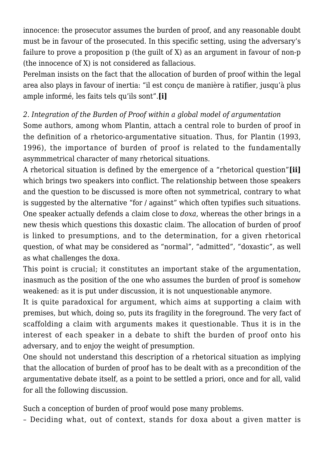innocence: the prosecutor assumes the burden of proof, and any reasonable doubt must be in favour of the prosecuted. In this specific setting, using the adversary's failure to prove a proposition p (the quilt of X) as an argument in favour of non-p (the innocence of X) is not considered as fallacious.

Perelman insists on the fact that the allocation of burden of proof within the legal area also plays in favour of inertia: "il est conçu de manière à ratifier, jusqu'à plus ample informé, les faits tels qu'ils sont".**[i]**

#### *2. Integration of the Burden of Proof within a global model of argumentation*

Some authors, among whom Plantin, attach a central role to burden of proof in the definition of a rhetorico-argumentative situation. Thus, for Plantin (1993, 1996), the importance of burden of proof is related to the fundamentally asymmmetrical character of many rhetorical situations.

A rhetorical situation is defined by the emergence of a "rhetorical question"**[ii]** which brings two speakers into conflict. The relationship between those speakers and the question to be discussed is more often not symmetrical, contrary to what is suggested by the alternative "for / against" which often typifies such situations. One speaker actually defends a claim close to *doxa*, whereas the other brings in a new thesis which questions this doxastic claim. The allocation of burden of proof is linked to presumptions, and to the determination, for a given rhetorical question, of what may be considered as "normal", "admitted", "doxastic", as well as what challenges the doxa.

This point is crucial; it constitutes an important stake of the argumentation, inasmuch as the position of the one who assumes the burden of proof is somehow weakened: as it is put under discussion, it is not unquestionable anymore.

It is quite paradoxical for argument, which aims at supporting a claim with premises, but which, doing so, puts its fragility in the foreground. The very fact of scaffolding a claim with arguments makes it questionable. Thus it is in the interest of each speaker in a debate to shift the burden of proof onto his adversary, and to enjoy the weight of presumption.

One should not understand this description of a rhetorical situation as implying that the allocation of burden of proof has to be dealt with as a precondition of the argumentative debate itself, as a point to be settled a priori, once and for all, valid for all the following discussion.

Such a conception of burden of proof would pose many problems.

– Deciding what, out of context, stands for doxa about a given matter is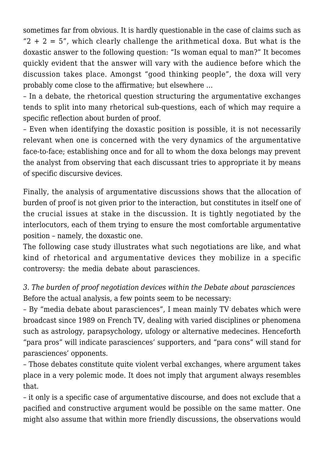sometimes far from obvious. It is hardly questionable in the case of claims such as " $2 + 2 = 5$ ", which clearly challenge the arithmetical doxa. But what is the doxastic answer to the following question: "Is woman equal to man?" It becomes quickly evident that the answer will vary with the audience before which the discussion takes place. Amongst "good thinking people", the doxa will very probably come close to the affirmative; but elsewhere …

– In a debate, the rhetorical question structuring the argumentative exchanges tends to split into many rhetorical sub-questions, each of which may require a specific reflection about burden of proof.

– Even when identifying the doxastic position is possible, it is not necessarily relevant when one is concerned with the very dynamics of the argumentative face-to-face; establishing once and for all to whom the doxa belongs may prevent the analyst from observing that each discussant tries to appropriate it by means of specific discursive devices.

Finally, the analysis of argumentative discussions shows that the allocation of burden of proof is not given prior to the interaction, but constitutes in itself one of the crucial issues at stake in the discussion. It is tightly negotiated by the interlocutors, each of them trying to ensure the most comfortable argumentative position – namely, the doxastic one.

The following case study illustrates what such negotiations are like, and what kind of rhetorical and argumentative devices they mobilize in a specific controversy: the media debate about parasciences.

*3. The burden of proof negotiation devices within the Debate about parasciences* Before the actual analysis, a few points seem to be necessary:

– By "media debate about parasciences", I mean mainly TV debates which were broadcast since 1989 on French TV, dealing with varied disciplines or phenomena such as astrology, parapsychology, ufology or alternative medecines. Henceforth "para pros" will indicate parasciences' supporters, and "para cons" will stand for parasciences' opponents.

– Those debates constitute quite violent verbal exchanges, where argument takes place in a very polemic mode. It does not imply that argument always resembles that.

– it only is a specific case of argumentative discourse, and does not exclude that a pacified and constructive argument would be possible on the same matter. One might also assume that within more friendly discussions, the observations would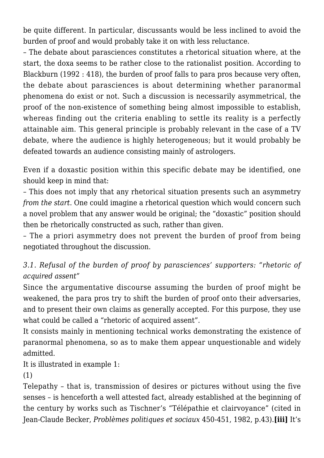be quite different. In particular, discussants would be less inclined to avoid the burden of proof and would probably take it on with less reluctance.

– The debate about parasciences constitutes a rhetorical situation where, at the start, the doxa seems to be rather close to the rationalist position. According to Blackburn (1992 : 418), the burden of proof falls to para pros because very often, the debate about parasciences is about determining whether paranormal phenomena do exist or not. Such a discussion is necessarily asymmetrical, the proof of the non-existence of something being almost impossible to establish, whereas finding out the criteria enabling to settle its reality is a perfectly attainable aim. This general principle is probably relevant in the case of a TV debate, where the audience is highly heterogeneous; but it would probably be defeated towards an audience consisting mainly of astrologers.

Even if a doxastic position within this specific debate may be identified, one should keep in mind that:

– This does not imply that any rhetorical situation presents such an asymmetry *from the start*. One could imagine a rhetorical question which would concern such a novel problem that any answer would be original; the "doxastic" position should then be rhetorically constructed as such, rather than given.

– The a priori asymmetry does not prevent the burden of proof from being negotiated throughout the discussion.

## *3.1. Refusal of the burden of proof by parasciences' supporters: "rhetoric of acquired assent"*

Since the argumentative discourse assuming the burden of proof might be weakened, the para pros try to shift the burden of proof onto their adversaries, and to present their own claims as generally accepted. For this purpose, they use what could be called a "rhetoric of acquired assent".

It consists mainly in mentioning technical works demonstrating the existence of paranormal phenomena, so as to make them appear unquestionable and widely admitted.

It is illustrated in example 1:

(1)

Telepathy – that is, transmission of desires or pictures without using the five senses – is henceforth a well attested fact, already established at the beginning of the century by works such as Tischner's "Télépathie et clairvoyance" (cited in Jean-Claude Becker, *Problèmes politiques et sociaux* 450-451, 1982, p.43).**[iii]** It's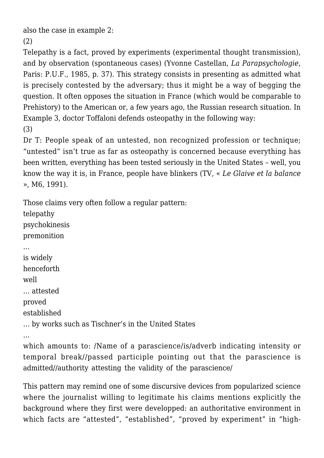also the case in example 2:

(2)

Telepathy is a fact, proved by experiments (experimental thought transmission), and by observation (spontaneous cases) (Yvonne Castellan, *La Parapsychologie*, Paris: P.U.F., 1985, p. 37). This strategy consists in presenting as admitted what is precisely contested by the adversary; thus it might be a way of begging the question. It often opposes the situation in France (which would be comparable to Prehistory) to the American or, a few years ago, the Russian research situation. In Example 3, doctor Toffaloni defends osteopathy in the following way: (3)

Dr T: People speak of an untested, non recognized profession or technique; "untested" isn't true as far as osteopathy is concerned because everything has been written, everything has been tested seriously in the United States – well, you know the way it is, in France, people have blinkers (TV, « *Le Glaive et la balance* », M6, 1991).

Those claims very often follow a regular pattern: telepathy psychokinesis premonition … is widely henceforth well … attested proved established … by works such as Tischner's in the United States

… which amounts to: /Name of a parascience/is/adverb indicating intensity or temporal break//passed participle pointing out that the parascience is admitted//authority attesting the validity of the parascience/

This pattern may remind one of some discursive devices from popularized science where the journalist willing to legitimate his claims mentions explicitly the background where they first were developped: an authoritative environment in which facts are "attested", "established", "proved by experiment" in "high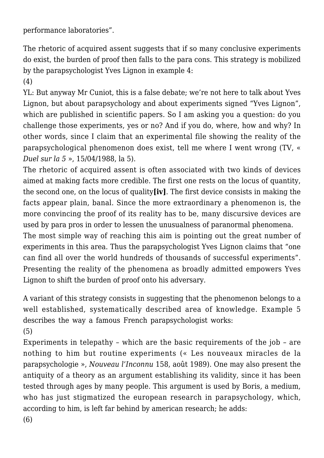performance laboratories".

The rhetoric of acquired assent suggests that if so many conclusive experiments do exist, the burden of proof then falls to the para cons. This strategy is mobilized by the parapsychologist Yves Lignon in example 4:

(4)

YL: But anyway Mr Cuniot, this is a false debate; we're not here to talk about Yves Lignon, but about parapsychology and about experiments signed "Yves Lignon", which are published in scientific papers. So I am asking you a question: do you challenge those experiments, yes or no? And if you do, where, how and why? In other words, since I claim that an experimental file showing the reality of the parapsychological phenomenon does exist, tell me where I went wrong (TV, « *Duel sur la 5* », 15/04/1988, la 5).

The rhetoric of acquired assent is often associated with two kinds of devices aimed at making facts more credible. The first one rests on the locus of quantity, the second one, on the locus of quality**[iv]**. The first device consists in making the facts appear plain, banal. Since the more extraordinary a phenomenon is, the more convincing the proof of its reality has to be, many discursive devices are used by para pros in order to lessen the unusualness of paranormal phenomena.

The most simple way of reaching this aim is pointing out the great number of experiments in this area. Thus the parapsychologist Yves Lignon claims that "one can find all over the world hundreds of thousands of successful experiments". Presenting the reality of the phenomena as broadly admitted empowers Yves Lignon to shift the burden of proof onto his adversary.

A variant of this strategy consists in suggesting that the phenomenon belongs to a well established, systematically described area of knowledge. Example 5 describes the way a famous French parapsychologist works: (5)

Experiments in telepathy – which are the basic requirements of the job – are nothing to him but routine experiments (« Les nouveaux miracles de la parapsychologie », *Nouveau l'Inconnu* 158, août 1989). One may also present the antiquity of a theory as an argument establishing its validity, since it has been tested through ages by many people. This argument is used by Boris, a medium, who has just stigmatized the european research in parapsychology, which, according to him, is left far behind by american research; he adds: (6)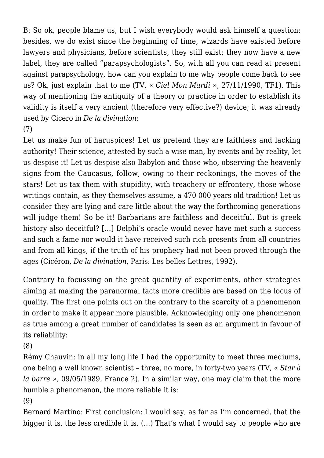B: So ok, people blame us, but I wish everybody would ask himself a question; besides, we do exist since the beginning of time, wizards have existed before lawyers and physicians, before scientists, they still exist; they now have a new label, they are called "parapsychologists". So, with all you can read at present against parapsychology, how can you explain to me why people come back to see us? Ok, just explain that to me (TV, « *Ciel Mon Mardi* », 27/11/1990, TF1). This way of mentioning the antiquity of a theory or practice in order to establish its validity is itself a very ancient (therefore very effective?) device; it was already used by Cicero in *De la divination*:

(7)

Let us make fun of haruspices! Let us pretend they are faithless and lacking authority! Their science, attested by such a wise man, by events and by reality, let us despise it! Let us despise also Babylon and those who, observing the heavenly signs from the Caucasus, follow, owing to their reckonings, the moves of the stars! Let us tax them with stupidity, with treachery or effrontery, those whose writings contain, as they themselves assume, a 470 000 years old tradition! Let us consider they are lying and care little about the way the forthcoming generations will judge them! So be it! Barbarians are faithless and deceitful. But is greek history also deceitful? […] Delphi's oracle would never have met such a success and such a fame nor would it have received such rich presents from all countries and from all kings, if the truth of his prophecy had not been proved through the ages (Cicéron, *De la divination*, Paris: Les belles Lettres, 1992).

Contrary to focussing on the great quantity of experiments, other strategies aiming at making the paranormal facts more credible are based on the locus of quality. The first one points out on the contrary to the scarcity of a phenomenon in order to make it appear more plausible. Acknowledging only one phenomenon as true among a great number of candidates is seen as an argument in favour of its reliability:

(8)

Rémy Chauvin: in all my long life I had the opportunity to meet three mediums, one being a well known scientist – three, no more, in forty-two years (TV, « *Star à la barre* », 09/05/1989, France 2). In a similar way, one may claim that the more humble a phenomenon, the more reliable it is:

(9)

Bernard Martino: First conclusion: I would say, as far as I'm concerned, that the bigger it is, the less credible it is. (…) That's what I would say to people who are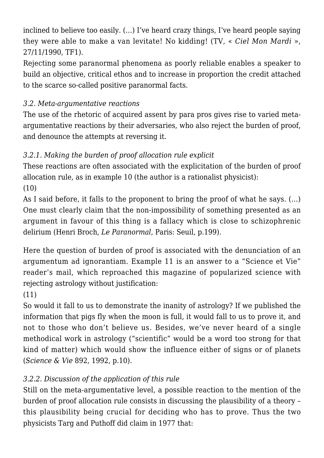inclined to believe too easily. (…) I've heard crazy things, I've heard people saying they were able to make a van levitate! No kidding! (TV, « *Ciel Mon Mardi* », 27/11/1990, TF1).

Rejecting some paranormal phenomena as poorly reliable enables a speaker to build an objective, critical ethos and to increase in proportion the credit attached to the scarce so-called positive paranormal facts.

## *3.2. Meta-argumentative reactions*

The use of the rhetoric of acquired assent by para pros gives rise to varied metaargumentative reactions by their adversaries, who also reject the burden of proof, and denounce the attempts at reversing it.

## *3.2.1. Making the burden of proof allocation rule explicit*

These reactions are often associated with the explicitation of the burden of proof allocation rule, as in example 10 (the author is a rationalist physicist):  $(10)$ 

As I said before, it falls to the proponent to bring the proof of what he says. (…) One must clearly claim that the non-impossibility of something presented as an argument in favour of this thing is a fallacy which is close to schizophrenic delirium (Henri Broch, *Le Paranormal*, Paris: Seuil, p.199).

Here the question of burden of proof is associated with the denunciation of an argumentum ad ignorantiam. Example 11 is an answer to a "Science et Vie" reader's mail, which reproached this magazine of popularized science with rejecting astrology without justification:

# (11)

So would it fall to us to demonstrate the inanity of astrology? If we published the information that pigs fly when the moon is full, it would fall to us to prove it, and not to those who don't believe us. Besides, we've never heard of a single methodical work in astrology ("scientific" would be a word too strong for that kind of matter) which would show the influence either of signs or of planets (*Science & Vie* 892, 1992, p.10).

# *3.2.2. Discussion of the application of this rule*

Still on the meta-argumentative level, a possible reaction to the mention of the burden of proof allocation rule consists in discussing the plausibility of a theory – this plausibility being crucial for deciding who has to prove. Thus the two physicists Targ and Puthoff did claim in 1977 that: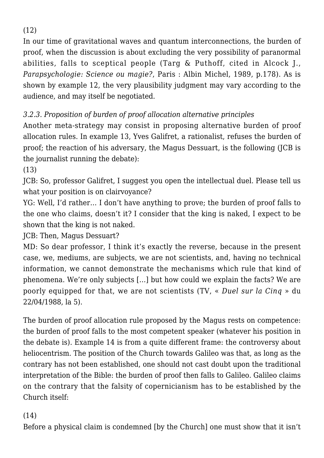(12)

In our time of gravitational waves and quantum interconnections, the burden of proof, when the discussion is about excluding the very possibility of paranormal abilities, falls to sceptical people (Targ & Puthoff, cited in Alcock J., *Parapsychologie: Science ou magie?*, Paris : Albin Michel, 1989, p.178). As is shown by example 12, the very plausibility judgment may vary according to the audience, and may itself be negotiated.

## *3.2.3. Proposition of burden of proof allocation alternative principles*

Another meta-strategy may consist in proposing alternative burden of proof allocation rules. In example 13, Yves Galifret, a rationalist, refuses the burden of proof; the reaction of his adversary, the Magus Dessuart, is the following (JCB is the journalist running the debate):

(13)

JCB: So, professor Galifret, I suggest you open the intellectual duel. Please tell us what your position is on clairvoyance?

YG: Well, I'd rather… I don't have anything to prove; the burden of proof falls to the one who claims, doesn't it? I consider that the king is naked, I expect to be shown that the king is not naked.

JCB: Then, Magus Dessuart?

MD: So dear professor, I think it's exactly the reverse, because in the present case, we, mediums, are subjects, we are not scientists, and, having no technical information, we cannot demonstrate the mechanisms which rule that kind of phenomena. We're only subjects […] but how could we explain the facts? We are poorly equipped for that, we are not scientists (TV, « *Duel sur la Cinq* » du 22/04/1988, la 5).

The burden of proof allocation rule proposed by the Magus rests on competence: the burden of proof falls to the most competent speaker (whatever his position in the debate is). Example 14 is from a quite different frame: the controversy about heliocentrism. The position of the Church towards Galileo was that, as long as the contrary has not been established, one should not cast doubt upon the traditional interpretation of the Bible: the burden of proof then falls to Galileo. Galileo claims on the contrary that the falsity of copernicianism has to be established by the Church itself:

## (14)

Before a physical claim is condemned [by the Church] one must show that it isn't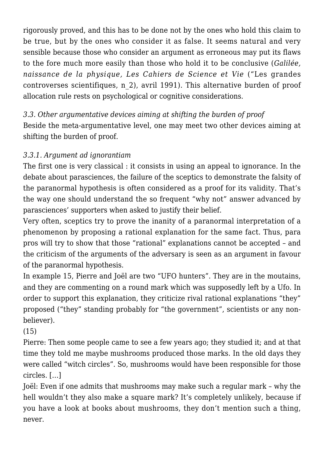rigorously proved, and this has to be done not by the ones who hold this claim to be true, but by the ones who consider it as false. It seems natural and very sensible because those who consider an argument as erroneous may put its flaws to the fore much more easily than those who hold it to be conclusive (*Galilée, naissance de la physique, Les Cahiers de Science et Vie* ("Les grandes controverses scientifiques, n\_2), avril 1991). This alternative burden of proof allocation rule rests on psychological or cognitive considerations.

*3.3. Other argumentative devices aiming at shifting the burden of proof* Beside the meta-argumentative level, one may meet two other devices aiming at shifting the burden of proof.

## *3.3.1. Argument ad ignorantiam*

The first one is very classical : it consists in using an appeal to ignorance. In the debate about parasciences, the failure of the sceptics to demonstrate the falsity of the paranormal hypothesis is often considered as a proof for its validity. That's the way one should understand the so frequent "why not" answer advanced by parasciences' supporters when asked to justify their belief.

Very often, sceptics try to prove the inanity of a paranormal interpretation of a phenomenon by proposing a rational explanation for the same fact. Thus, para pros will try to show that those "rational" explanations cannot be accepted – and the criticism of the arguments of the adversary is seen as an argument in favour of the paranormal hypothesis.

In example 15, Pierre and Joël are two "UFO hunters". They are in the moutains, and they are commenting on a round mark which was supposedly left by a Ufo. In order to support this explanation, they criticize rival rational explanations "they" proposed ("they" standing probably for "the government", scientists or any nonbeliever).

(15)

Pierre: Then some people came to see a few years ago; they studied it; and at that time they told me maybe mushrooms produced those marks. In the old days they were called "witch circles". So, mushrooms would have been responsible for those circles. […]

Joël: Even if one admits that mushrooms may make such a regular mark – why the hell wouldn't they also make a square mark? It's completely unlikely, because if you have a look at books about mushrooms, they don't mention such a thing, never.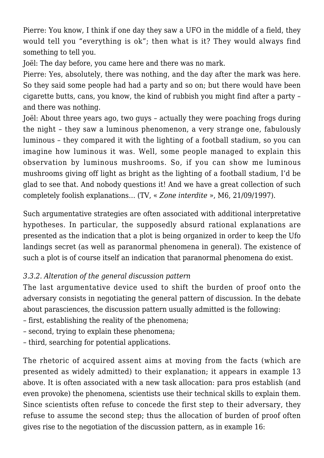Pierre: You know, I think if one day they saw a UFO in the middle of a field, they would tell you "everything is ok"; then what is it? They would always find something to tell you.

Joël: The day before, you came here and there was no mark.

Pierre: Yes, absolutely, there was nothing, and the day after the mark was here. So they said some people had had a party and so on; but there would have been cigarette butts, cans, you know, the kind of rubbish you might find after a party – and there was nothing.

Joël: About three years ago, two guys – actually they were poaching frogs during the night – they saw a luminous phenomenon, a very strange one, fabulously luminous – they compared it with the lighting of a football stadium, so you can imagine how luminous it was. Well, some people managed to explain this observation by luminous mushrooms. So, if you can show me luminous mushrooms giving off light as bright as the lighting of a football stadium, I'd be glad to see that. And nobody questions it! And we have a great collection of such completely foolish explanations… (TV, « *Zone interdite* », M6, 21/09/1997).

Such argumentative strategies are often associated with additional interpretative hypotheses. In particular, the supposedly absurd rational explanations are presented as the indication that a plot is being organized in order to keep the Ufo landings secret (as well as paranormal phenomena in general). The existence of such a plot is of course itself an indication that paranormal phenomena do exist.

## *3.3.2. Alteration of the general discussion pattern*

The last argumentative device used to shift the burden of proof onto the adversary consists in negotiating the general pattern of discussion. In the debate about parasciences, the discussion pattern usually admitted is the following:

- first, establishing the reality of the phenomena;
- second, trying to explain these phenomena;
- third, searching for potential applications.

The rhetoric of acquired assent aims at moving from the facts (which are presented as widely admitted) to their explanation; it appears in example 13 above. It is often associated with a new task allocation: para pros establish (and even provoke) the phenomena, scientists use their technical skills to explain them. Since scientists often refuse to concede the first step to their adversary, they refuse to assume the second step; thus the allocation of burden of proof often gives rise to the negotiation of the discussion pattern, as in example 16: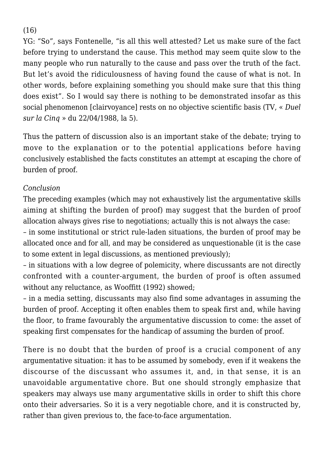(16)

YG: "So", says Fontenelle, "is all this well attested? Let us make sure of the fact before trying to understand the cause. This method may seem quite slow to the many people who run naturally to the cause and pass over the truth of the fact. But let's avoid the ridiculousness of having found the cause of what is not. In other words, before explaining something you should make sure that this thing does exist". So I would say there is nothing to be demonstrated insofar as this social phenomenon [clairvoyance] rests on no objective scientific basis (TV, « *Duel sur la Cinq* » du 22/04/1988, la 5).

Thus the pattern of discussion also is an important stake of the debate; trying to move to the explanation or to the potential applications before having conclusively established the facts constitutes an attempt at escaping the chore of burden of proof.

#### *Conclusion*

The preceding examples (which may not exhaustively list the argumentative skills aiming at shifting the burden of proof) may suggest that the burden of proof allocation always gives rise to negotiations; actually this is not always the case:

– in some institutional or strict rule-laden situations, the burden of proof may be allocated once and for all, and may be considered as unquestionable (it is the case to some extent in legal discussions, as mentioned previously);

– in situations with a low degree of polemicity, where discussants are not directly confronted with a counter-argument, the burden of proof is often assumed without any reluctance, as Wooffitt (1992) showed;

– in a media setting, discussants may also find some advantages in assuming the burden of proof. Accepting it often enables them to speak first and, while having the floor, to frame favourably the argumentative discussion to come: the asset of speaking first compensates for the handicap of assuming the burden of proof.

There is no doubt that the burden of proof is a crucial component of any argumentative situation: it has to be assumed by somebody, even if it weakens the discourse of the discussant who assumes it, and, in that sense, it is an unavoidable argumentative chore. But one should strongly emphasize that speakers may always use many argumentative skills in order to shift this chore onto their adversaries. So it is a very negotiable chore, and it is constructed by, rather than given previous to, the face-to-face argumentation.